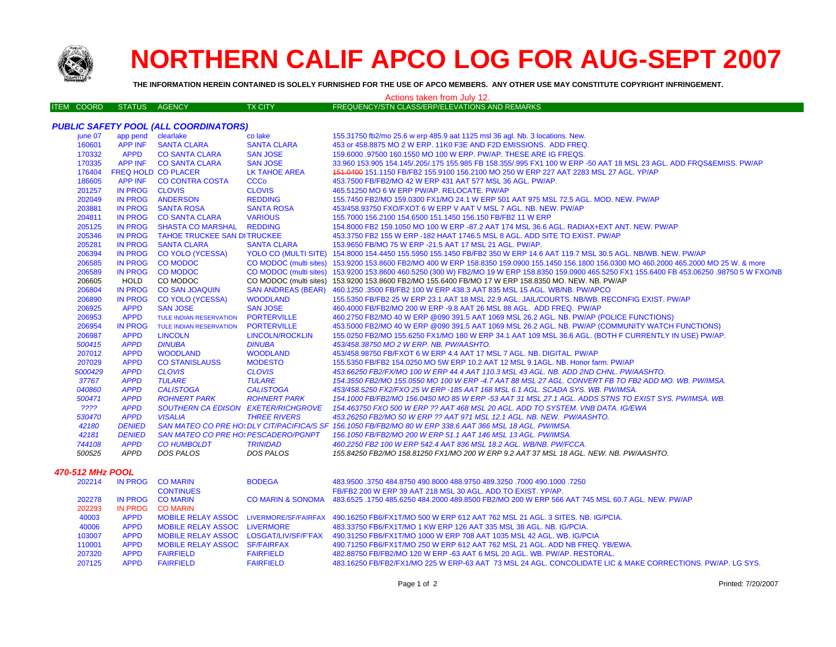

# **NORTHERN CALIF APCO LOG FOR AUG-SEPT 2007**

**THE INFORMATION HEREIN CONTAINED IS SOLELY FURNISHED FOR THE USE OF APCO MEMBERS. ANY OTHER USE MAY CONSTITUTE COPYRIGHT INFRINGEMENT.**

### Actions taken from July 12.

| ITEM COORD | STATUS AGENCY | TX CITY' | ⊟ FREQUENCY/STN CLASS/ERP/ELEVATIONS AND REMARKS ' |  |
|------------|---------------|----------|----------------------------------------------------|--|

|         |                    | <b>PUBLIC SAFETY POOL (ALL COORDINATORS)</b> |                        |                                                                                                                                                  |
|---------|--------------------|----------------------------------------------|------------------------|--------------------------------------------------------------------------------------------------------------------------------------------------|
| june 07 | app pend clearlake |                                              | co lake                | 155.31750 fb2/mo 25.6 w erp 485.9 aat 1125 msl 36 agl. Nb. 3 locations. New.                                                                     |
| 160601  |                    | APP INF SANTA CLARA                          | <b>SANTA CLARA</b>     | 453 or 458,8875 MO 2 W ERP, 11K0 F3E AND F2D EMISSIONS. ADD FREQ.                                                                                |
| 170332  | <b>APPD</b>        | <b>CO SANTA CLARA</b>                        | <b>SAN JOSE</b>        | 159,6000 .97500 160.1550 MO 100 W ERP. PW/AP. THESE ARE IG FREQS.                                                                                |
| 170335  |                    | APP INF CO SANTA CLARA                       | <b>SAN JOSE</b>        | 33,960 153,905 154,145/.205/.175 155,985 FB 158,355/.995 FX1 100 W ERP -50 AAT 18 MSL 23 AGL. ADD FRQS&EMISS, PW/AP                              |
| 176404  |                    | <b>FREQ HOLD CO PLACER</b>                   | <b>LK TAHOE AREA</b>   | 151.0400 151.1150 FB/FB2 155.9100 156.2100 MO 250 W ERP 227 AAT 2283 MSL 27 AGL. YP/AP                                                           |
| 186605  |                    | APP INF CO CONTRA COSTA                      | <b>CCCo</b>            | 453.7500 FB/FB2/MO 42 W ERP 431 AAT 577 MSL 36 AGL, PW/AP.                                                                                       |
| 201257  | IN PROG CLOVIS     |                                              | <b>CLOVIS</b>          | 465.51250 MO 6 W ERP PW/AP, RELOCATE, PW/AP                                                                                                      |
| 202049  |                    | IN PROG ANDERSON                             | <b>REDDING</b>         | 155.7450 FB2/MO 159.0300 FX1/MO 24.1 W ERP 501 AAT 975 MSL 72.5 AGL, MOD, NEW, PW/AP                                                             |
| 203881  |                    | IN PROG SANTA ROSA                           | <b>SANTA ROSA</b>      | 453/458.93750 FXO/FXOT 6 W ERP V AAT V MSL 7 AGL, NB, NEW, PW/AP                                                                                 |
| 204811  |                    | IN PROG CO SANTA CLARA                       | <b>VARIOUS</b>         | 155.7000 156.2100 154.6500 151.1450 156.150 FB/FB2 11 W ERP                                                                                      |
| 205125  |                    | IN PROG SHASTA CO MARSHAL REDDING            |                        | 154,8000 FB2 159,1050 MO 100 W ERP -87,2 AAT 174 MSL 36.6 AGL, RADIAX+EXT ANT, NEW, PW/AP                                                        |
| 205346  |                    | IN PROG TAHOE TRUCKEE SAN DITRUCKEE          |                        | 453,3750 FB2 155 W ERP -182 HAAT 1746.5 MSL 8 AGL, ADD SITE TO EXIST, PW/AP                                                                      |
| 205281  |                    | IN PROG SANTA CLARA                          | <b>SANTA CLARA</b>     | 153.9650 FB/MO 75 W ERP -21.5 AAT 17 MSL 21 AGL. PW/AP.                                                                                          |
| 206394  | <b>IN PROG</b>     | <b>CO YOLO (YCESSA)</b>                      |                        | YOLO CO (MULTI SITE) 154.8000 154.4450 155.5950 155.1450 FB/FB2 350 W ERP 14.6 AAT 119.7 MSL 30.5 AGL. NB/WB. NEW. PW/AP                         |
| 206585  | <b>IN PROG</b>     | <b>CO MODOC</b>                              |                        | CO MODOC (multi sites) 153.9200 153.8600 FB2/MO 400 W ERP 158.8350 159.0900 155.1450 156.1800 156.0300 MO 460.2000 465.2000 MO 25 W. & more      |
| 206589  | <b>IN PROG</b>     | <b>CO MODOC</b>                              |                        | CO MODOC (multi sites) 153.9200 153.8600 460.5250 (300 W) FB2/MO 19 W ERP 158.8350 159.0900 465.5250 FX1 155.6400 FB 453.06250 .98750 5 W FXO/NB |
| 206605  | <b>HOLD</b>        | CO MODOC                                     |                        | CO MODOC (multi sites) 153.9200 153.8600 FB2/MO 155.6400 FB/MO 17 W ERP 158.8350 MO. NEW. NB. PW/AP                                              |
| 206804  | <b>IN PROG</b>     | <b>CO SAN JOAQUIN</b>                        |                        | SAN ANDREAS (BEAR) 460.1250 .3500 FB/FB2 100 W ERP 438.3 AAT 835 MSL 15 AGL. WB/NB. PW/APCO                                                      |
| 206890  | <b>IN PROG</b>     | <b>CO YOLO (YCESSA)</b>                      | <b>WOODLAND</b>        | 155.5350 FB/FB2 25 W ERP 23.1 AAT 18 MSL 22.9 AGL. JAIL/COURTS, NB/WB, RECONFIG EXIST, PW/AP                                                     |
| 206925  | <b>APPD</b>        | <b>SAN JOSE</b>                              | <b>SAN JOSE</b>        | 460,4000 FB/FB2/MO 200 W ERP -9.8 AAT 26 MSL 88 AGL. ADD FREQ. PW/AP                                                                             |
| 206953  | <b>APPD</b>        | <b>TULE INDIAN RESERVATION</b>               | <b>PORTERVILLE</b>     | 460.2750 FB2/MO 40 W ERP @090 391.5 AAT 1069 MSL 26.2 AGL. NB. PW/AP (POLICE FUNCTIONS)                                                          |
| 206954  | <b>IN PROG</b>     | <b>TULE INDIAN RESERVATION</b>               | <b>PORTERVILLE</b>     | 453.5000 FB2/MO 40 W ERP @090 391.5 AAT 1069 MSL 26.2 AGL. NB. PW/AP (COMMUNITY WATCH FUNCTIONS)                                                 |
| 206987  | <b>APPD</b>        | <b>LINCOLN</b>                               | <b>LINCOLN/ROCKLIN</b> | 155.0250 FB2/MO 155.6250 FX1/MO 180 W ERP 34.1 AAT 109 MSL 36.6 AGL. (BOTH F CURRENTLY IN USE) PW/AP.                                            |
| 500415  | <b>APPD</b>        | <b>DINUBA</b>                                | <b>DINUBA</b>          | 453/458.38750 MO 2 W ERP. NB. PW/AASHTO.                                                                                                         |
| 207012  | <b>APPD</b>        | <b>WOODLAND</b>                              | <b>WOODLAND</b>        | 453/458,98750 FB/FXOT 6 W ERP 4.4 AAT 17 MSL 7 AGL, NB, DIGITAL, PW/AP                                                                           |
| 207029  | <b>APPD</b>        | <b>CO STANISLAUSS</b>                        | <b>MODESTO</b>         | 155,5350 FB/FB2 154,0250 MO 5W ERP 10.2 AAT 12 MSL 9.1AGL, NB, Honor farm, PW/AP                                                                 |
| 5000429 | <b>APPD</b>        | <b>CLOVIS</b>                                | <b>CLOVIS</b>          | 453.66250 FB2/FX/MO 100 W ERP 44.4 AAT 110.3 MSL 43 AGL. NB. ADD 2ND CHNL. PW/AASHTO.                                                            |
| 37767   | <b>APPD</b>        | <b>TULARE</b>                                | <b>TULARE</b>          | 154.3550 FB2/MO 155.0550 MO 100 W ERP -4.7 AAT 88 MSL 27 AGL. CONVERT FB TO FB2 ADD MO. WB. PW/IMSA.                                             |
| 040860  | <b>APPD</b>        | <b>CALISTOGA</b>                             | <b>CALISTOGA</b>       | 453/458.5250 FX2/FXO 25 W ERP -185 AAT 168 MSL 6.1 AGL. SCADA SYS. WB. PW/IMSA.                                                                  |
| 500471  | <b>APPD</b>        | <b>ROHNERT PARK</b>                          | <b>ROHNERT PARK</b>    | 154.1000 FB/FB2/MO 156.0450 MO 85 W ERP -53 AAT 31 MSL 27.1 AGL. ADDS STNS TO EXIST SYS. PW/IMSA. WB.                                            |
| ????    | <b>APPD</b>        | SOUTHERN CA EDISON EXETER/RICHGROVE          |                        | 154.463750 FXO 500 W ERP ?? AAT 468 MSL 20 AGL. ADD TO SYSTEM. VNB DATA. IG/EWA                                                                  |
| 530470  | <b>APPD</b>        | <b>VISALIA</b>                               | <b>THREE RIVERS</b>    | 453.26250 FB2/MO 50 W ERP ?? AAT 971 MSL 12.1 AGL. NB. NEW. PW/AASHTO.                                                                           |
| 42180   | <b>DENIED</b>      |                                              |                        | SAN MATEO CO PRE HO: DLY CIT/PACIFICA/S SF 156.1050 FB/FB2/MO 80 W ERP 338.6 AAT 366 MSL 18 AGL. PW/IMSA.                                        |
| 42181   | <b>DENIED</b>      | <b>SAN MATEO CO PRE HO: PESCADERO/PGNPT</b>  |                        | 156.1050 FB/FB2/MO 200 W ERP 51.1 AAT 146 MSL 13 AGL. PW/IMSA.                                                                                   |
| 744108  | <b>APPD</b>        | <b>CO HUMBOLDT</b>                           | <b>TRINIDAD</b>        | 460.2250 FB2 100 W ERP 542.4 AAT 836 MSL 18.2 AGL, WB/NB, PW/FCCA,                                                                               |
| 500525  | APPD               | DOS PALOS                                    | DOS PALOS              | 155.84250 FB2/MO 158.81250 FX1/MO 200 W ERP 9.2 AAT 37 MSL 18 AGL. NEW. NB. PW/AASHTO.                                                           |
|         |                    |                                              |                        |                                                                                                                                                  |

## *470-512 MHz POOL*

| 202214 | IN PROG     | <b>CO MARIN</b>                        | <b>BODEGA</b>    | 483.9500 .3750 484.8750 490.8000 488.9750 489.3250 .7000 490.1000 .3750                                               |
|--------|-------------|----------------------------------------|------------------|-----------------------------------------------------------------------------------------------------------------------|
|        |             | <b>CONTINUES</b>                       |                  | FB/FB2 200 W ERP 39 AAT 218 MSL 30 AGL, ADD TO EXIST, YP/AP.                                                          |
| 202278 | IN PROG     | <b>CO MARIN</b>                        |                  | CO MARIN & SONOMA 483.6525 .1750 485.6250 484.2000 489.8500 FB2/MO 200 W ERP 566 AAT 745 MSL 60.7 AGL. NEW, PW/AP     |
| 202293 | IN PROG     | <b>CO MARIN</b>                        |                  |                                                                                                                       |
| 40003  | <b>APPD</b> |                                        |                  | MOBILE RELAY ASSOC LIVERMORE/SF/FAIRFAX 490.16250 FB6/FX1T/MO 500 W ERP 612 AAT 762 MSL 21 AGL. 3 SITES, NB. IG/PCIA. |
| 40006  | <b>APPD</b> | MOBILE RELAY ASSOC LIVERMORE           |                  | 483.33750 FB6/FX1T/MO 1 KW ERP 126 AAT 335 MSL 38 AGL, NB, IG/PCIA.                                                   |
| 103007 | <b>APPD</b> | MOBILE RELAY ASSOC LOSGAT/LIV/SF/F'FAX |                  | 490.31250 FB6/FX1T/MO 1000 W ERP 708 AAT 1035 MSL 42 AGL. WB. IG/PCIA                                                 |
| 110001 | <b>APPD</b> | MOBILE RELAY ASSOC SF/FAIRFAX          |                  | 490.71250 FB6/FX1T/MO 250 W ERP 612 AAT 762 MSL 21 AGL. ADD NB FREQ. YB/EWA.                                          |
| 207320 | <b>APPD</b> | <b>FAIRFIELD</b>                       | <b>FAIRFIELD</b> | 482.88750 FB/FB2/MO 120 W ERP -63 AAT 6 MSL 20 AGL, WB, PW/AP, RESTORAL,                                              |
| 207125 | <b>APPD</b> | <b>FAIRFIELD</b>                       | <b>FAIRFIELD</b> | 483.16250 FB/FB2/FX1/MO 225 W ERP-63 AAT 73 MSL 24 AGL. CONCOLIDATE LIC & MAKE CORRECTIONS. PW/AP. LG SYS.            |